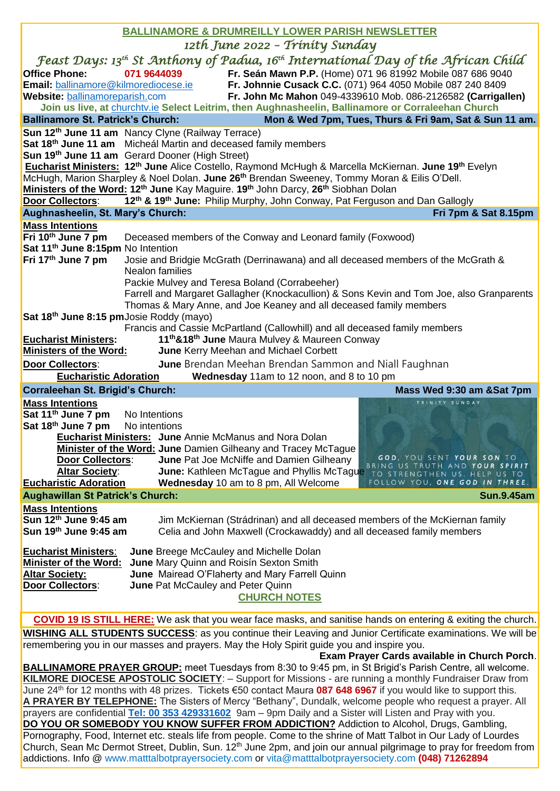| <b>BALLINAMORE &amp; DRUMREILLY LOWER PARISH NEWSLETTER</b>                                                                                                                                                                                          |
|------------------------------------------------------------------------------------------------------------------------------------------------------------------------------------------------------------------------------------------------------|
| 12th June 2022 - Trinity Sunday                                                                                                                                                                                                                      |
| Feast Days: 13 <sup>th</sup> St Anthony of Padua, 16 <sup>th</sup> International Day of the African Child                                                                                                                                            |
| <b>Office Phone:</b><br>071 9644039<br>Fr. Seán Mawn P.P. (Home) 071 96 81992 Mobile 087 686 9040                                                                                                                                                    |
| Email: ballinamore@kilmorediocese.ie<br>Fr. Johnnie Cusack C.C. (071) 964 4050 Mobile 087 240 8409                                                                                                                                                   |
| Fr. John Mc Mahon 049-4339610 Mob. 086-2126582 (Carrigallen)<br>Website: ballinamoreparish.com                                                                                                                                                       |
| Join us live, at churchtv.ie Select Leitrim, then Aughnasheelin, Ballinamore or Corraleehan Church                                                                                                                                                   |
| <b>Ballinamore St. Patrick's Church:</b><br>Mon & Wed 7pm, Tues, Thurs & Fri 9am, Sat & Sun 11 am.                                                                                                                                                   |
| Sun 12 <sup>th</sup> June 11 am Nancy Clyne (Railway Terrace)                                                                                                                                                                                        |
| Sat 18 <sup>th</sup> June 11 am Micheál Martin and deceased family members                                                                                                                                                                           |
| Sun 19 <sup>th</sup> June 11 am Gerard Dooner (High Street)                                                                                                                                                                                          |
| Eucharist Ministers: 12 <sup>th</sup> June Alice Costello, Raymond McHugh & Marcella McKiernan. June 19 <sup>th</sup> Evelyn<br>McHugh, Marion Sharpley & Noel Dolan. June 26 <sup>th</sup> Brendan Sweeney, Tommy Moran & Eilis O'Dell.             |
| Ministers of the Word: 12 <sup>th</sup> June Kay Maguire. 19 <sup>th</sup> John Darcy, 26 <sup>th</sup> Siobhan Dolan                                                                                                                                |
| Door Collectors: 12 <sup>th</sup> & 19 <sup>th</sup> June: Philip Murphy, John Conway, Pat Ferguson and Dan Gallogly                                                                                                                                 |
| Aughnasheelin, St. Mary's Church:<br>Fri 7pm & Sat 8.15pm                                                                                                                                                                                            |
| <b>Mass Intentions</b>                                                                                                                                                                                                                               |
| Fri 10th June 7 pm<br>Deceased members of the Conway and Leonard family (Foxwood)                                                                                                                                                                    |
| Sat 11 <sup>th</sup> June 8:15pm No Intention                                                                                                                                                                                                        |
| Fri 17 <sup>th</sup> June 7 pm<br>Josie and Bridgie McGrath (Derrinawana) and all deceased members of the McGrath &                                                                                                                                  |
| Nealon families                                                                                                                                                                                                                                      |
| Packie Mulvey and Teresa Boland (Corrabeeher)                                                                                                                                                                                                        |
| Farrell and Margaret Gallagher (Knockacullion) & Sons Kevin and Tom Joe, also Granparents<br>Thomas & Mary Anne, and Joe Keaney and all deceased family members                                                                                      |
| Sat 18 <sup>th</sup> June 8:15 pm Josie Roddy (mayo)                                                                                                                                                                                                 |
| Francis and Cassie McPartland (Callowhill) and all deceased family members                                                                                                                                                                           |
| 11 <sup>th</sup> &18 <sup>th</sup> June Maura Mulvey & Maureen Conway<br><b>Eucharist Ministers:</b>                                                                                                                                                 |
| <b>Ministers of the Word:</b><br>June Kerry Meehan and Michael Corbett                                                                                                                                                                               |
| <b>June</b> Brendan Meehan Brendan Sammon and Niall Faughnan<br><b>Door Collectors:</b>                                                                                                                                                              |
| Wednesday 11am to 12 noon, and 8 to 10 pm<br><b>Eucharistic Adoration</b>                                                                                                                                                                            |
| Corraleehan St. Brigid's Church:<br>Mass Wed 9:30 am &Sat 7pm                                                                                                                                                                                        |
| <b>Mass Intentions</b><br>TRINITY SUNDAY                                                                                                                                                                                                             |
|                                                                                                                                                                                                                                                      |
| Sat 11 <sup>th</sup> June 7 pm<br>No Intentions                                                                                                                                                                                                      |
| Sat 18 <sup>th</sup> June 7 pm No intentions                                                                                                                                                                                                         |
| <b>Eucharist Ministers: June Annie McManus and Nora Dolan</b>                                                                                                                                                                                        |
| <b>Minister of the Word: June</b> Damien Gilheany and Tracey McTague<br>GOD, YOU SENT YOUR SON TO                                                                                                                                                    |
| <b>Door Collectors:</b><br>June Pat Joe McNiffe and Damien Gilheany<br>BRING US TRUTH AND YOUR SPIRIT<br>June: Kathleen McTague and Phyllis McTague<br><b>Altar Society:</b>                                                                         |
| TO STRENGTHEN US. HELP US TO<br><b>Eucharistic Adoration</b><br>FOLLOW YOU, ONE GOD IN THREE.<br>Wednesday 10 am to 8 pm, All Welcome                                                                                                                |
| <b>Aughawillan St Patrick's Church:</b><br><b>Sun.9.45am</b>                                                                                                                                                                                         |
| <b>Mass Intentions</b>                                                                                                                                                                                                                               |
| Sun 12th June 9:45 am<br>Jim McKiernan (Strádrinan) and all deceased members of the McKiernan family                                                                                                                                                 |
| Sun 19th June 9:45 am<br>Celia and John Maxwell (Crockawaddy) and all deceased family members                                                                                                                                                        |
|                                                                                                                                                                                                                                                      |
| <b>Eucharist Ministers:</b><br><b>June Breege McCauley and Michelle Dolan</b><br><b>Minister of the Word:</b><br>June Mary Quinn and Roisín Sexton Smith                                                                                             |
| <b>Altar Society:</b><br>June Mairead O'Flaherty and Mary Farrell Quinn                                                                                                                                                                              |
| <b>Door Collectors:</b><br>June Pat McCauley and Peter Quinn                                                                                                                                                                                         |
| <b>CHURCH NOTES</b>                                                                                                                                                                                                                                  |
|                                                                                                                                                                                                                                                      |
| <b>COVID 19 IS STILL HERE:</b> We ask that you wear face masks, and sanitise hands on entering & exiting the church.                                                                                                                                 |
| <b>WISHING ALL STUDENTS SUCCESS:</b> as you continue their Leaving and Junior Certificate examinations. We will be                                                                                                                                   |
| remembering you in our masses and prayers. May the Holy Spirit guide you and inspire you.                                                                                                                                                            |
| Exam Prayer Cards available in Church Porch.<br><b>BALLINAMORE PRAYER GROUP:</b> meet Tuesdays from 8:30 to 9:45 pm, in St Brigid's Parish Centre, all welcome.                                                                                      |
| KILMORE DIOCESE APOSTOLIC SOCIETY: - Support for Missions - are running a monthly Fundraiser Draw from                                                                                                                                               |
| June 24 <sup>th</sup> for 12 months with 48 prizes. Tickets €50 contact Maura 087 648 6967 if you would like to support this.                                                                                                                        |
| A PRAYER BY TELEPHONE: The Sisters of Mercy "Bethany", Dundalk, welcome people who request a prayer. All                                                                                                                                             |
| prayers are confidential Tel: 00 353 429331602 9am - 9pm Daily and a Sister will Listen and Pray with you.                                                                                                                                           |
| DO YOU OR SOMEBODY YOU KNOW SUFFER FROM ADDICTION? Addiction to Alcohol, Drugs, Gambling,                                                                                                                                                            |
| Pornography, Food, Internet etc. steals life from people. Come to the shrine of Matt Talbot in Our Lady of Lourdes<br>Church, Sean Mc Dermot Street, Dublin, Sun. 12 <sup>th</sup> June 2pm, and join our annual pilgrimage to pray for freedom from |